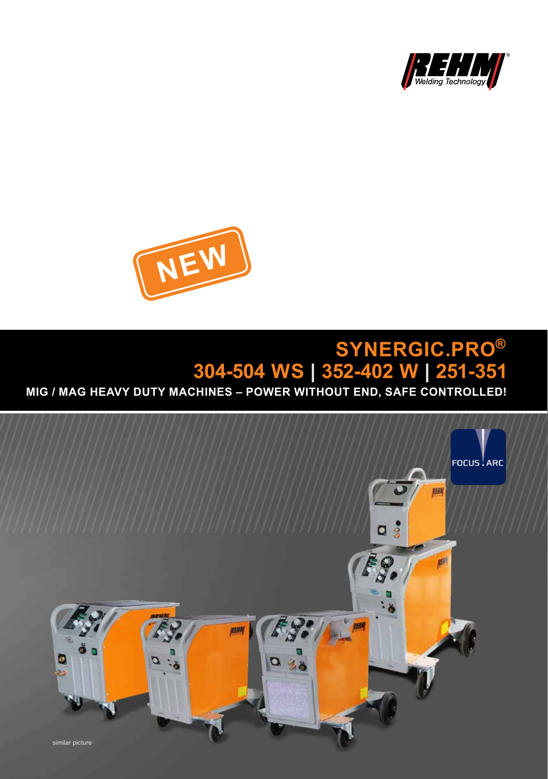



## **SYNERGIC.PRO 304-504 WS | 352-402 W | 251-351 ®**

**MIG / MAG HEAVY DUTY MACHINES – POWER WITHOUT END, SAFE CONTROLLED!** 

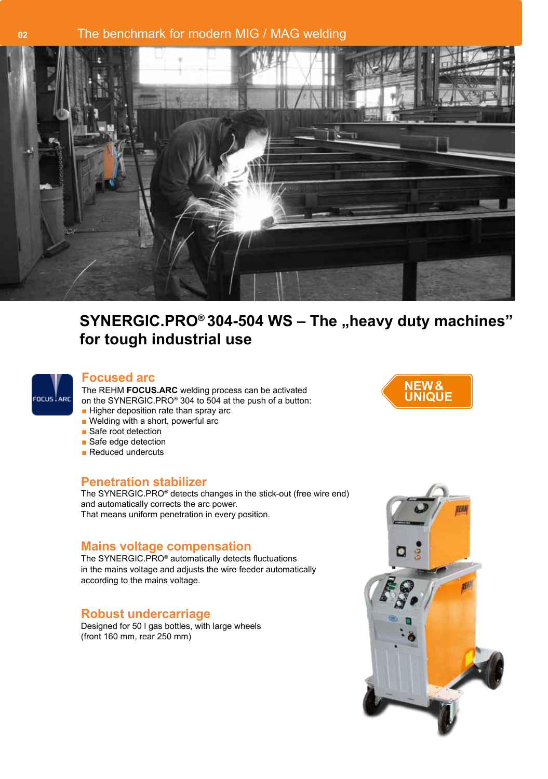# **<sup>02</sup>** The benchmark for modern MIG / MAG welding



# SYNERGIC.PRO<sup>®</sup> 304-504 WS - The "heavy duty machines" **for tough industrial use**



The REHM **FOCUS.ARC** welding process can be activated **Focused arc NEW &** on the SYNERGIC.PRO® 304 to 504 at the push of a button:

- Higher deposition rate than spray arc
- Welding with a short, powerful arc
- Safe root detection
- Safe edge detection
- Reduced undercuts

#### **Penetration stabilizer**

The SYNERGIC.PRO® detects changes in the stick-out (free wire end) and automatically corrects the arc power. That means uniform penetration in every position.

#### **Mains voltage compensation**

The SYNERGIC.PRO® automatically detects fluctuations in the mains voltage and adjusts the wire feeder automatically according to the mains voltage.

#### **Robust undercarriage**

Designed for 50 l gas bottles, with large wheels (front 160 mm, rear 250 mm)



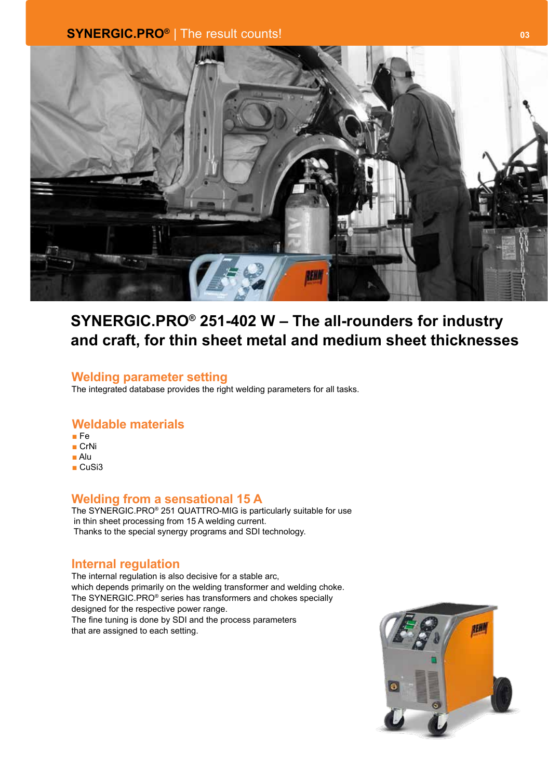

# **SYNERGIC.PRO® 251-402 W – The all-rounders for industry and craft, for thin sheet metal and medium sheet thicknesses**

#### **Welding parameter setting**

The integrated database provides the right welding parameters for all tasks.

#### **Weldable materials**

- Fe
- CrNi
- Alu
- CuSi3

#### **Welding from a sensational 15 A**

The SYNERGIC.PRO® 251 QUATTRO-MIG is particularly suitable for use in thin sheet processing from 15 A welding current. Thanks to the special synergy programs and SDI technology.

#### **Internal regulation**

The internal regulation is also decisive for a stable arc, which depends primarily on the welding transformer and welding choke. The SYNERGIC.PRO® series has transformers and chokes specially designed for the respective power range. The fine tuning is done by SDI and the process parameters that are assigned to each setting.

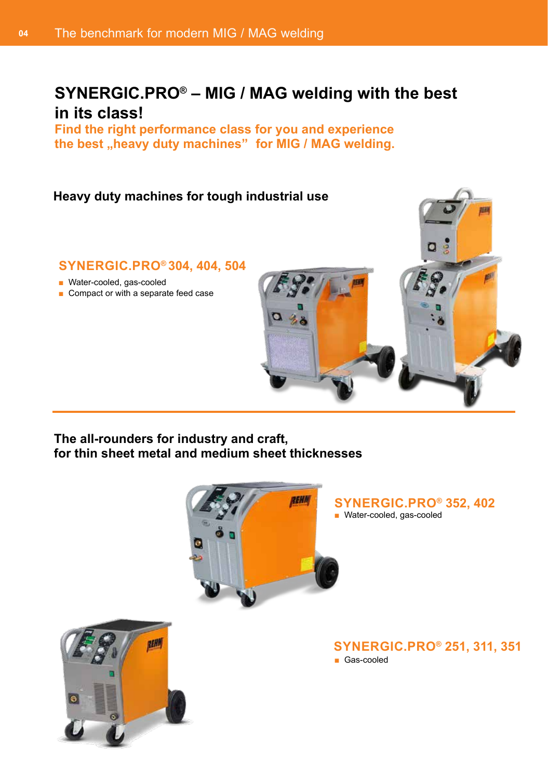# **SYNERGIC.PRO® – MIG / MAG welding with the best in its class!**

**Find the right performance class for you and experience**  the best "heavy duty machines" for MIG / MAG welding.

#### **Heavy duty machines for tough industrial use**

#### **SYNERGIC.PRO® 304, 404, 504**

- Water-cooled, gas-cooled
- Compact or with a separate feed case

**The all-rounders for industry and craft, for thin sheet metal and medium sheet thicknesses**



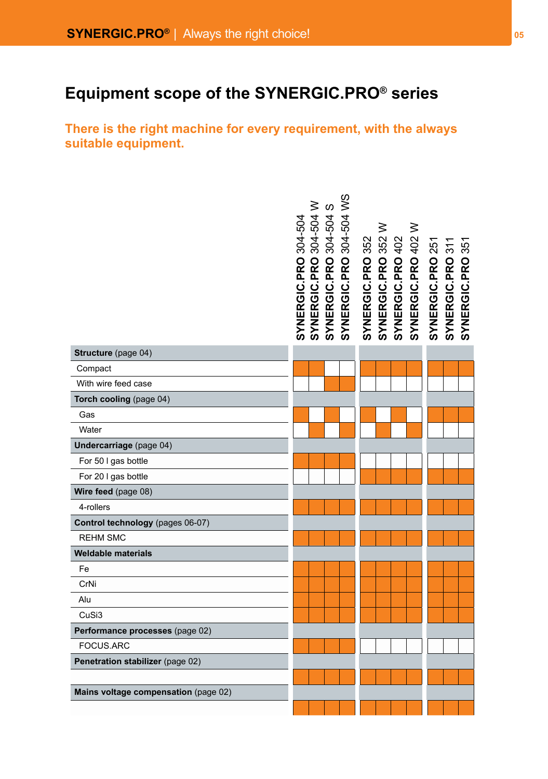# **Equipment scope of the SYNERGIC.PRO® series**

**There is the right machine for every requirement, with the always suitable equipment.**

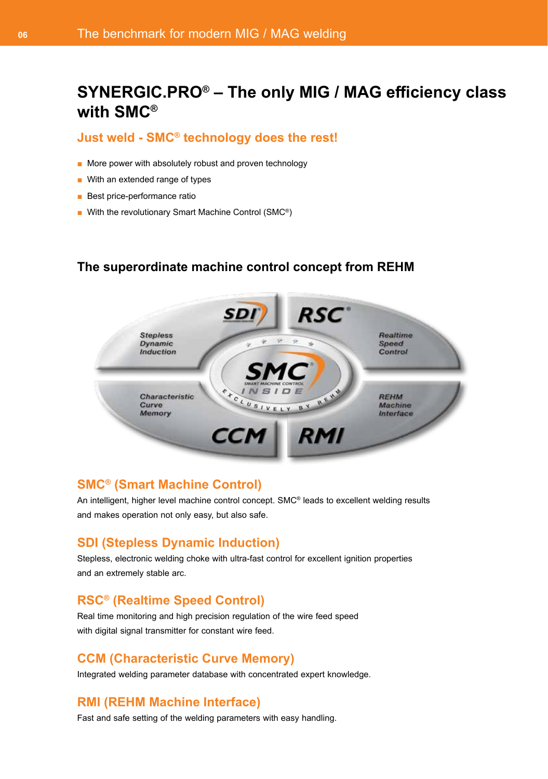# **SYNERGIC.PRO® – The only MIG / MAG efficiency class with SMC®**

#### **Just weld - SMC® technology does the rest!**

- More power with absolutely robust and proven technology
- With an extended range of types
- Best price-performance ratio
- With the revolutionary Smart Machine Control (SMC<sup>®</sup>)

#### **The superordinate machine control concept from REHM**



#### **SMC® (Smart Machine Control)**

An intelligent, higher level machine control concept. SMC® leads to excellent welding results and makes operation not only easy, but also safe.

#### **SDI (Stepless Dynamic Induction)**

Stepless, electronic welding choke with ultra-fast control for excellent ignition properties and an extremely stable arc.

## **RSC® (Realtime Speed Control)**

Real time monitoring and high precision regulation of the wire feed speed with digital signal transmitter for constant wire feed.

#### **CCM (Characteristic Curve Memory)**

Integrated welding parameter database with concentrated expert knowledge.

## **RMI (REHM Machine Interface)**

Fast and safe setting of the welding parameters with easy handling.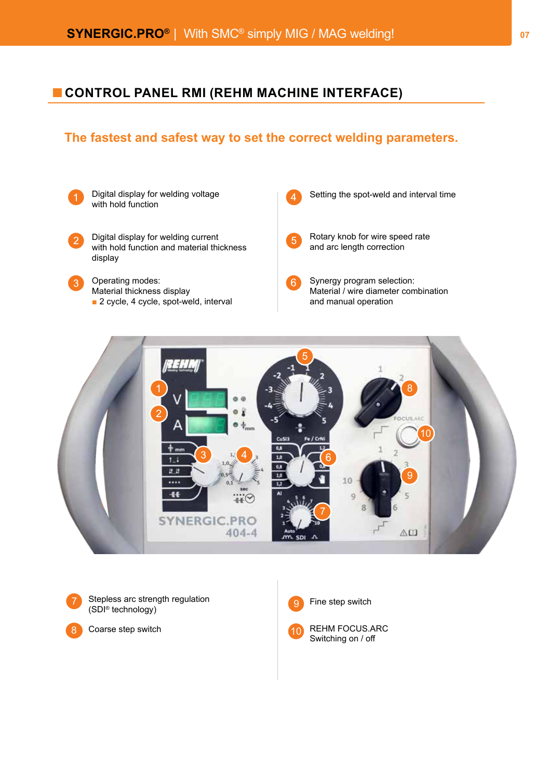## **CONTROL PANEL RMI (REHM MACHINE INTERFACE)**

## **The fastest and safest way to set the correct welding parameters.**







8

Stepless arc strength regulation (SDI® technology)

Coarse step switch



REHM FOCUS.ARC Switching on / off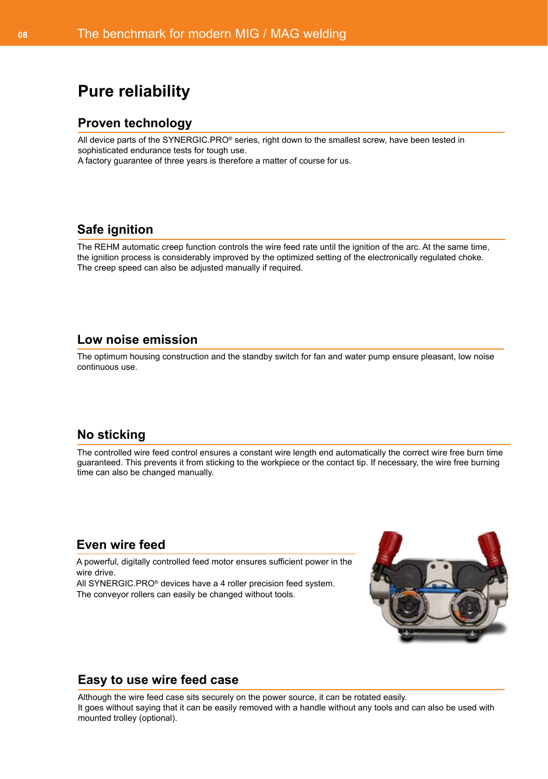# **Pure reliability**

#### **Proven technology**

All device parts of the SYNERGIC.PRO® series, right down to the smallest screw, have been tested in sophisticated endurance tests for tough use.

A factory guarantee of three years is therefore a matter of course for us.

#### **Safe ignition**

The REHM automatic creep function controls the wire feed rate until the ignition of the arc. At the same time, the ignition process is considerably improved by the optimized setting of the electronically regulated choke. The creep speed can also be adjusted manually if required.

#### **Low noise emission**

The optimum housing construction and the standby switch for fan and water pump ensure pleasant, low noise continuous use.

#### **No sticking**

The controlled wire feed control ensures a constant wire length end automatically the correct wire free burn time guaranteed. This prevents it from sticking to the workpiece or the contact tip. If necessary, the wire free burning time can also be changed manually.

#### **Even wire feed**

A powerful, digitally controlled feed motor ensures sufficient power in the wire drive.

All SYNERGIC.PRO® devices have a 4 roller precision feed system. The conveyor rollers can easily be changed without tools.



#### **Easy to use wire feed case**

Although the wire feed case sits securely on the power source, it can be rotated easily. It goes without saying that it can be easily removed with a handle without any tools and can also be used with mounted trolley (optional).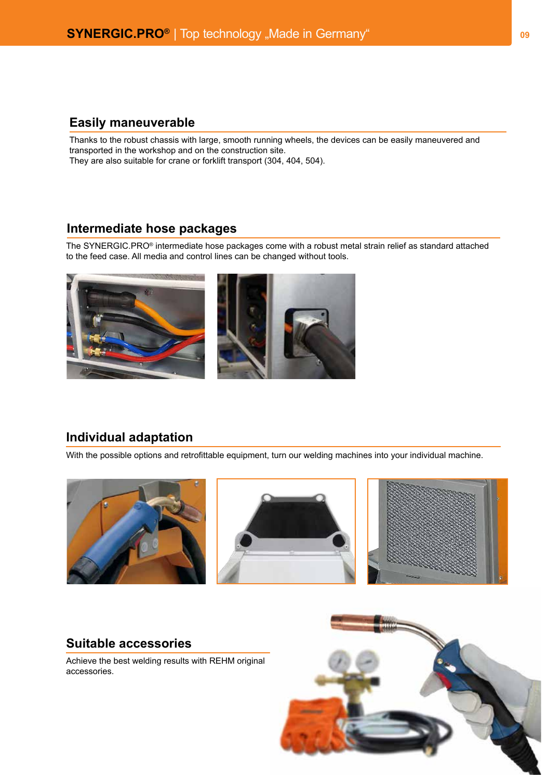## **Easily maneuverable**

Thanks to the robust chassis with large, smooth running wheels, the devices can be easily maneuvered and transported in the workshop and on the construction site. They are also suitable for crane or forklift transport (304, 404, 504).

#### **Intermediate hose packages**

The SYNERGIC.PRO® intermediate hose packages come with a robust metal strain relief as standard attached to the feed case. All media and control lines can be changed without tools.



#### **Individual adaptation**

With the possible options and retrofittable equipment, turn our welding machines into your individual machine.



#### **Suitable accessories**

Achieve the best welding results with REHM original accessories.

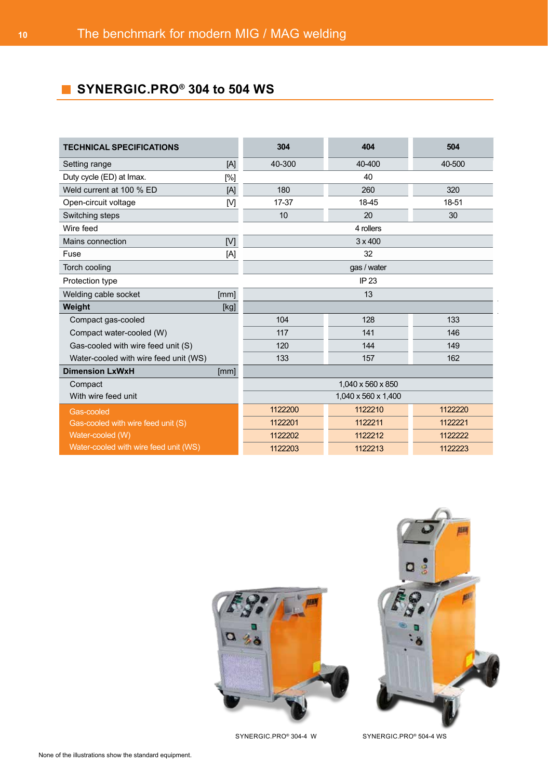# **SYNERGIC.PRO® 304 to 504 WS**

| <b>TECHNICAL SPECIFICATIONS</b>       |     | 304                           | 404     | 504     |  |  |  |
|---------------------------------------|-----|-------------------------------|---------|---------|--|--|--|
| Setting range                         | [A] | 40-300                        | 40-400  | 40-500  |  |  |  |
| Duty cycle (ED) at Imax.<br>[%]       |     | 40                            |         |         |  |  |  |
| Weld current at 100 % ED              | [A] | 180                           | 260     | 320     |  |  |  |
| Open-circuit voltage                  | [M] | 17-37                         | 18-45   | 18-51   |  |  |  |
| Switching steps                       |     | 10                            | 20      | 30      |  |  |  |
| Wire feed                             |     | 4 rollers                     |         |         |  |  |  |
| Mains connection                      | [V] | $3 \times 400$                |         |         |  |  |  |
| Fuse                                  | [A] | 32                            |         |         |  |  |  |
| Torch cooling                         |     | gas / water                   |         |         |  |  |  |
| Protection type                       |     | IP 23                         |         |         |  |  |  |
| Welding cable socket<br>[mm]          |     | 13                            |         |         |  |  |  |
| Weight<br>[kg]                        |     |                               |         |         |  |  |  |
| Compact gas-cooled                    |     | 104                           | 128     | 133     |  |  |  |
| Compact water-cooled (W)              |     | 117                           | 141     | 146     |  |  |  |
| Gas-cooled with wire feed unit (S)    |     | 120                           | 144     | 149     |  |  |  |
| Water-cooled with wire feed unit (WS) |     | 133                           | 157     | 162     |  |  |  |
| <b>Dimension LxWxH</b><br>[mm]        |     |                               |         |         |  |  |  |
| Compact                               |     | 1,040 x 560 x 850             |         |         |  |  |  |
| With wire feed unit                   |     | 1,040 x 560 x 1,400           |         |         |  |  |  |
| Gas-cooled                            |     | 1122200                       | 1122210 | 1122220 |  |  |  |
| Gas-cooled with wire feed unit (S)    |     | 1122201                       | 1122211 | 1122221 |  |  |  |
| Water-cooled (W)                      |     | 1122202<br>1122212<br>1122222 |         |         |  |  |  |
| Water-cooled with wire feed unit (WS) |     | 1122203                       | 1122213 | 1122223 |  |  |  |

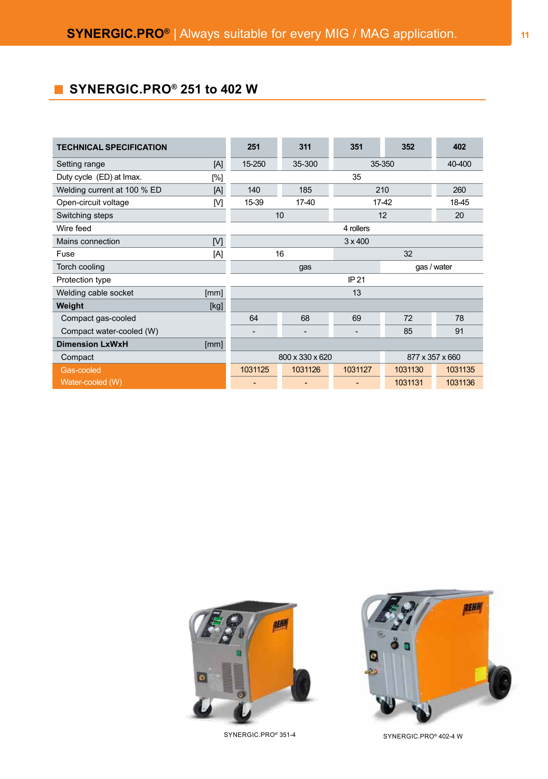# **B** SYNERGIC.PRO<sup>®</sup> 251 to 402 W

| <b>TECHNICAL SPECIFICATION</b> |      | 251                | 311     | 351            | 352             | 402     |  |
|--------------------------------|------|--------------------|---------|----------------|-----------------|---------|--|
| Setting range                  | [A]  | 15-250             | 35-300  | 35-350         |                 | 40-400  |  |
| Duty cycle (ED) at Imax.       | [%]  | 35                 |         |                |                 |         |  |
| Welding current at 100 % ED    | [A]  | 140                | 185     | 210<br>260     |                 |         |  |
| Open-circuit voltage           | [M]  | 15-39              | 17-40   | 18-45<br>17-42 |                 |         |  |
| Switching steps                |      | 10 <sup>1</sup>    |         |                | 12              | 20      |  |
| Wire feed                      |      | 4 rollers          |         |                |                 |         |  |
| Mains connection               | [V]  | $3 \times 400$     |         |                |                 |         |  |
| Fuse                           | [A]  | 16                 |         |                | 32              |         |  |
| Torch cooling                  |      | gas / water<br>gas |         |                |                 |         |  |
| Protection type                |      | IP 21              |         |                |                 |         |  |
| Welding cable socket           | [mm] | 13                 |         |                |                 |         |  |
| Weight                         | [kg] |                    |         |                |                 |         |  |
| Compact gas-cooled             |      | 64                 | 68      | 69             | 72              | 78      |  |
| Compact water-cooled (W)       |      |                    |         |                | 85              | 91      |  |
| <b>Dimension LxWxH</b>         | [mm] |                    |         |                |                 |         |  |
| Compact                        |      | 800 x 330 x 620    |         |                | 877 x 357 x 660 |         |  |
| Gas-cooled                     |      | 1031125            | 1031126 | 1031127        | 1031130         | 1031135 |  |
| Water-cooled (W)               |      | ٠                  | -       |                | 1031131         | 1031136 |  |





SYNERGIC.PRO® 351-4 SYNERGIC.PRO® 402-4 W